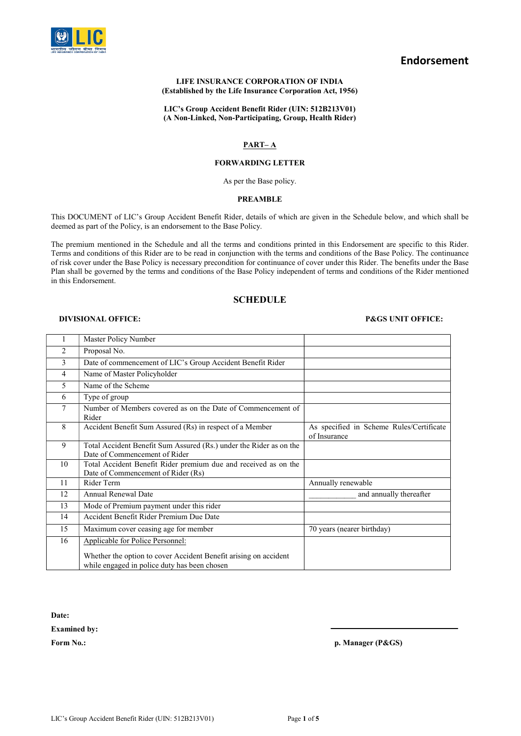

# Endorsement

#### LIFE INSURANCE CORPORATION OF INDIA (Established by the Life Insurance Corporation Act, 1956)

LIC's Group Accident Benefit Rider (UIN: 512B213V01) (A Non-Linked, Non-Participating, Group, Health Rider)

## PART– A

## FORWARDING LETTER

As per the Base policy.

### PREAMBLE

This DOCUMENT of LIC's Group Accident Benefit Rider, details of which are given in the Schedule below, and which shall be deemed as part of the Policy, is an endorsement to the Base Policy.

The premium mentioned in the Schedule and all the terms and conditions printed in this Endorsement are specific to this Rider. Terms and conditions of this Rider are to be read in conjunction with the terms and conditions of the Base Policy. The continuance of risk cover under the Base Policy is necessary precondition for continuance of cover under this Rider. The benefits under the Base Plan shall be governed by the terms and conditions of the Base Policy independent of terms and conditions of the Rider mentioned in this Endorsement.

## **SCHEDULE**

#### DIVISIONAL OFFICE: P&GS UNIT OFFICE:

|                | Master Policy Number                                                                                             |                                                          |
|----------------|------------------------------------------------------------------------------------------------------------------|----------------------------------------------------------|
| $\mathfrak{D}$ | Proposal No.                                                                                                     |                                                          |
| 3              | Date of commencement of LIC's Group Accident Benefit Rider                                                       |                                                          |
| 4              | Name of Master Policyholder                                                                                      |                                                          |
| 5              | Name of the Scheme                                                                                               |                                                          |
| 6              | Type of group                                                                                                    |                                                          |
| 7              | Number of Members covered as on the Date of Commencement of<br>Rider                                             |                                                          |
| 8              | Accident Benefit Sum Assured (Rs) in respect of a Member                                                         | As specified in Scheme Rules/Certificate<br>of Insurance |
| 9              | Total Accident Benefit Sum Assured (Rs.) under the Rider as on the<br>Date of Commencement of Rider              |                                                          |
| 10             | Total Accident Benefit Rider premium due and received as on the<br>Date of Commencement of Rider (Rs)            |                                                          |
| 11             | Rider Term                                                                                                       | Annually renewable                                       |
| 12             | <b>Annual Renewal Date</b>                                                                                       | and annually thereafter                                  |
| 13             | Mode of Premium payment under this rider                                                                         |                                                          |
| 14             | Accident Benefit Rider Premium Due Date                                                                          |                                                          |
| 15             | Maximum cover ceasing age for member                                                                             | 70 years (nearer birthday)                               |
| 16             | Applicable for Police Personnel:                                                                                 |                                                          |
|                | Whether the option to cover Accident Benefit arising on accident<br>while engaged in police duty has been chosen |                                                          |

Date:

Examined by:

Form No.: p. Manager (P&GS)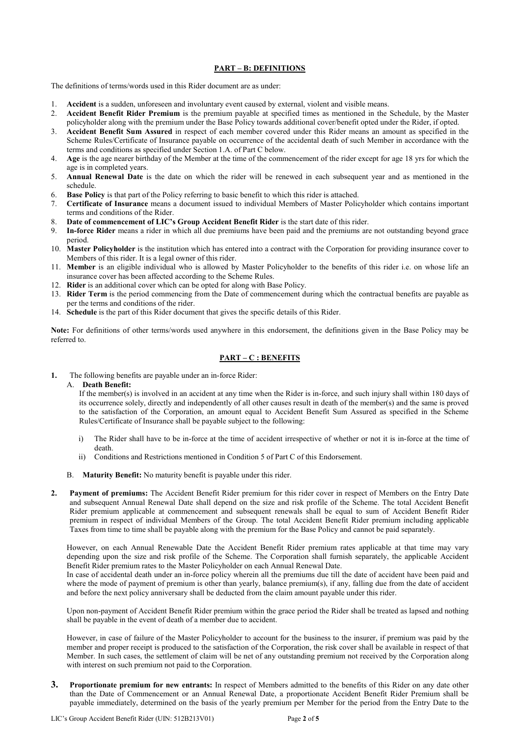## PART – B: DEFINITIONS

The definitions of terms/words used in this Rider document are as under:

- 1. Accident is a sudden, unforeseen and involuntary event caused by external, violent and visible means.
- 2. Accident Benefit Rider Premium is the premium payable at specified times as mentioned in the Schedule, by the Master policyholder along with the premium under the Base Policy towards additional cover/benefit opted under the Rider, if opted.
- 3. Accident Benefit Sum Assured in respect of each member covered under this Rider means an amount as specified in the Scheme Rules/Certificate of Insurance payable on occurrence of the accidental death of such Member in accordance with the terms and conditions as specified under Section 1.A. of Part C below.
- 4. Age is the age nearer birthday of the Member at the time of the commencement of the rider except for age 18 yrs for which the age is in completed years.
- 5. Annual Renewal Date is the date on which the rider will be renewed in each subsequent year and as mentioned in the schedule.
- 6. Base Policy is that part of the Policy referring to basic benefit to which this rider is attached.
- 7. Certificate of Insurance means a document issued to individual Members of Master Policyholder which contains important terms and conditions of the Rider.
- 8. Date of commencement of LIC's Group Accident Benefit Rider is the start date of this rider.
- 9. In-force Rider means a rider in which all due premiums have been paid and the premiums are not outstanding beyond grace period.
- 10. Master Policyholder is the institution which has entered into a contract with the Corporation for providing insurance cover to Members of this rider. It is a legal owner of this rider.
- 11. Member is an eligible individual who is allowed by Master Policyholder to the benefits of this rider i.e. on whose life an insurance cover has been affected according to the Scheme Rules.
- 12. Rider is an additional cover which can be opted for along with Base Policy.
- 13. Rider Term is the period commencing from the Date of commencement during which the contractual benefits are payable as per the terms and conditions of the rider.
- 14. Schedule is the part of this Rider document that gives the specific details of this Rider.

Note: For definitions of other terms/words used anywhere in this endorsement, the definitions given in the Base Policy may be referred to.

## PART – C : BENEFITS

1. The following benefits are payable under an in-force Rider:

## A. Death Benefit:

If the member(s) is involved in an accident at any time when the Rider is in-force, and such injury shall within 180 days of its occurrence solely, directly and independently of all other causes result in death of the member(s) and the same is proved to the satisfaction of the Corporation, an amount equal to Accident Benefit Sum Assured as specified in the Scheme Rules/Certificate of Insurance shall be payable subject to the following:

- i) The Rider shall have to be in-force at the time of accident irrespective of whether or not it is in-force at the time of death.
- ii) Conditions and Restrictions mentioned in Condition 5 of Part C of this Endorsement.
- B. Maturity Benefit: No maturity benefit is payable under this rider.
- 2. Payment of premiums: The Accident Benefit Rider premium for this rider cover in respect of Members on the Entry Date and subsequent Annual Renewal Date shall depend on the size and risk profile of the Scheme. The total Accident Benefit Rider premium applicable at commencement and subsequent renewals shall be equal to sum of Accident Benefit Rider premium in respect of individual Members of the Group. The total Accident Benefit Rider premium including applicable Taxes from time to time shall be payable along with the premium for the Base Policy and cannot be paid separately.

However, on each Annual Renewable Date the Accident Benefit Rider premium rates applicable at that time may vary depending upon the size and risk profile of the Scheme. The Corporation shall furnish separately, the applicable Accident Benefit Rider premium rates to the Master Policyholder on each Annual Renewal Date.

 In case of accidental death under an in-force policy wherein all the premiums due till the date of accident have been paid and where the mode of payment of premium is other than yearly, balance premium(s), if any, falling due from the date of accident and before the next policy anniversary shall be deducted from the claim amount payable under this rider.

Upon non-payment of Accident Benefit Rider premium within the grace period the Rider shall be treated as lapsed and nothing shall be payable in the event of death of a member due to accident.

However, in case of failure of the Master Policyholder to account for the business to the insurer, if premium was paid by the member and proper receipt is produced to the satisfaction of the Corporation, the risk cover shall be available in respect of that Member. In such cases, the settlement of claim will be net of any outstanding premium not received by the Corporation along with interest on such premium not paid to the Corporation.

3. Proportionate premium for new entrants: In respect of Members admitted to the benefits of this Rider on any date other than the Date of Commencement or an Annual Renewal Date, a proportionate Accident Benefit Rider Premium shall be payable immediately, determined on the basis of the yearly premium per Member for the period from the Entry Date to the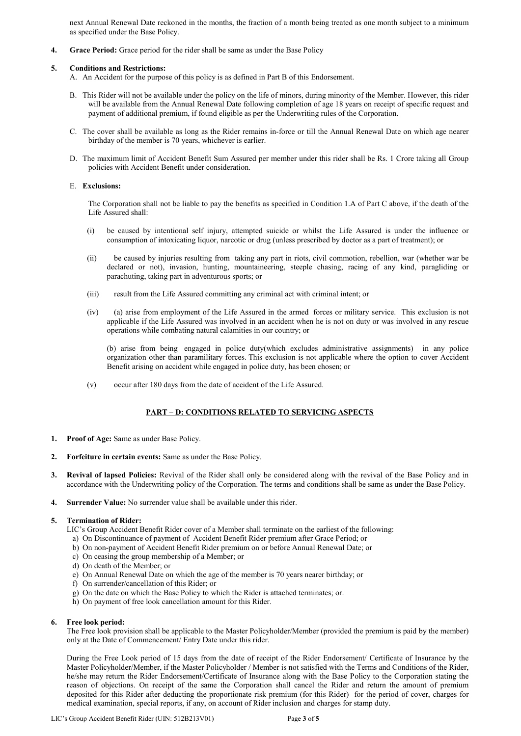next Annual Renewal Date reckoned in the months, the fraction of a month being treated as one month subject to a minimum as specified under the Base Policy.

4. Grace Period: Grace period for the rider shall be same as under the Base Policy

## 5. Conditions and Restrictions:

- A. An Accident for the purpose of this policy is as defined in Part B of this Endorsement.
- B. This Rider will not be available under the policy on the life of minors, during minority of the Member. However, this rider will be available from the Annual Renewal Date following completion of age 18 years on receipt of specific request and payment of additional premium, if found eligible as per the Underwriting rules of the Corporation.
- C. The cover shall be available as long as the Rider remains in-force or till the Annual Renewal Date on which age nearer birthday of the member is 70 years, whichever is earlier.
- D. The maximum limit of Accident Benefit Sum Assured per member under this rider shall be Rs. 1 Crore taking all Group policies with Accident Benefit under consideration.

## E. Exclusions:

The Corporation shall not be liable to pay the benefits as specified in Condition 1.A of Part C above, if the death of the Life Assured shall:

- (i) be caused by intentional self injury, attempted suicide or whilst the Life Assured is under the influence or consumption of intoxicating liquor, narcotic or drug (unless prescribed by doctor as a part of treatment); or
- (ii) be caused by injuries resulting from taking any part in riots, civil commotion, rebellion, war (whether war be declared or not), invasion, hunting, mountaineering, steeple chasing, racing of any kind, paragliding or parachuting, taking part in adventurous sports; or
- (iii) result from the Life Assured committing any criminal act with criminal intent; or
- (iv) (a) arise from employment of the Life Assured in the armed forces or military service. This exclusion is not applicable if the Life Assured was involved in an accident when he is not on duty or was involved in any rescue operations while combating natural calamities in our country; or

(b) arise from being engaged in police duty(which excludes administrative assignments) in any police organization other than paramilitary forces. This exclusion is not applicable where the option to cover Accident Benefit arising on accident while engaged in police duty, has been chosen; or

(v) occur after 180 days from the date of accident of the Life Assured.

## PART – D: CONDITIONS RELATED TO SERVICING ASPECTS

- 1. Proof of Age: Same as under Base Policy.
- 2. Forfeiture in certain events: Same as under the Base Policy.
- 3. Revival of lapsed Policies: Revival of the Rider shall only be considered along with the revival of the Base Policy and in accordance with the Underwriting policy of the Corporation. The terms and conditions shall be same as under the Base Policy.
- 4. Surrender Value: No surrender value shall be available under this rider.

## 5. Termination of Rider:

LIC's Group Accident Benefit Rider cover of a Member shall terminate on the earliest of the following:

- a) On Discontinuance of payment of Accident Benefit Rider premium after Grace Period; or
- b) On non-payment of Accident Benefit Rider premium on or before Annual Renewal Date; or
- c) On ceasing the group membership of a Member; or
- d) On death of the Member; or
- e) On Annual Renewal Date on which the age of the member is 70 years nearer birthday; or
- f) On surrender/cancellation of this Rider; or
- g) On the date on which the Base Policy to which the Rider is attached terminates; or.
- h) On payment of free look cancellation amount for this Rider.

## 6. Free look period:

The Free look provision shall be applicable to the Master Policyholder/Member (provided the premium is paid by the member) only at the Date of Commencement/ Entry Date under this rider.

During the Free Look period of 15 days from the date of receipt of the Rider Endorsement/ Certificate of Insurance by the Master Policyholder/Member, if the Master Policyholder / Member is not satisfied with the Terms and Conditions of the Rider, he/she may return the Rider Endorsement/Certificate of Insurance along with the Base Policy to the Corporation stating the reason of objections. On receipt of the same the Corporation shall cancel the Rider and return the amount of premium deposited for this Rider after deducting the proportionate risk premium (for this Rider) for the period of cover, charges for medical examination, special reports, if any, on account of Rider inclusion and charges for stamp duty.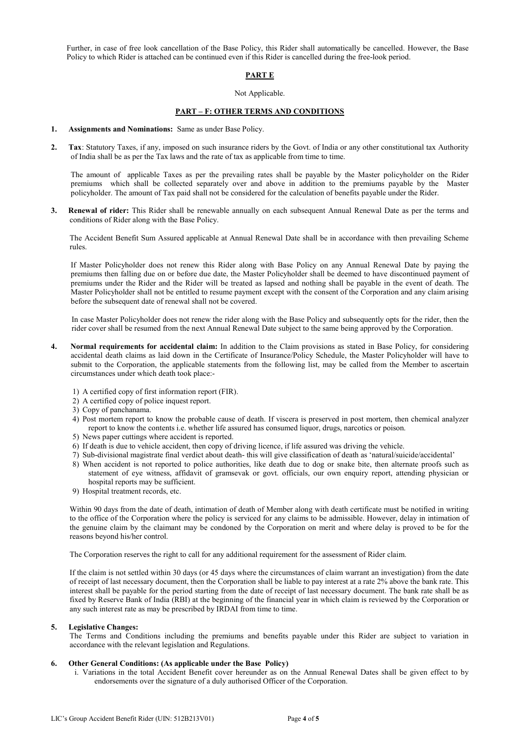Further, in case of free look cancellation of the Base Policy, this Rider shall automatically be cancelled. However, the Base Policy to which Rider is attached can be continued even if this Rider is cancelled during the free-look period.

## PART E

### Not Applicable.

## PART – F: OTHER TERMS AND CONDITIONS

- 1. Assignments and Nominations: Same as under Base Policy.
- 2. Tax: Statutory Taxes, if any, imposed on such insurance riders by the Govt. of India or any other constitutional tax Authority of India shall be as per the Tax laws and the rate of tax as applicable from time to time.

 The amount of applicable Taxes as per the prevailing rates shall be payable by the Master policyholder on the Rider premiums which shall be collected separately over and above in addition to the premiums payable by the Master policyholder. The amount of Tax paid shall not be considered for the calculation of benefits payable under the Rider.

3. Renewal of rider: This Rider shall be renewable annually on each subsequent Annual Renewal Date as per the terms and conditions of Rider along with the Base Policy.

The Accident Benefit Sum Assured applicable at Annual Renewal Date shall be in accordance with then prevailing Scheme rules.

If Master Policyholder does not renew this Rider along with Base Policy on any Annual Renewal Date by paying the premiums then falling due on or before due date, the Master Policyholder shall be deemed to have discontinued payment of premiums under the Rider and the Rider will be treated as lapsed and nothing shall be payable in the event of death. The Master Policyholder shall not be entitled to resume payment except with the consent of the Corporation and any claim arising before the subsequent date of renewal shall not be covered.

In case Master Policyholder does not renew the rider along with the Base Policy and subsequently opts for the rider, then the rider cover shall be resumed from the next Annual Renewal Date subject to the same being approved by the Corporation.

- 4. Normal requirements for accidental claim: In addition to the Claim provisions as stated in Base Policy, for considering accidental death claims as laid down in the Certificate of Insurance/Policy Schedule, the Master Policyholder will have to submit to the Corporation, the applicable statements from the following list, may be called from the Member to ascertain circumstances under which death took place:-
	- 1) A certified copy of first information report (FIR).
	- 2) A certified copy of police inquest report.
	- 3) Copy of panchanama.
	- 4) Post mortem report to know the probable cause of death. If viscera is preserved in post mortem, then chemical analyzer report to know the contents i.e. whether life assured has consumed liquor, drugs, narcotics or poison.
	- 5) News paper cuttings where accident is reported.
	- 6) If death is due to vehicle accident, then copy of driving licence, if life assured was driving the vehicle.
	- 7) Sub-divisional magistrate final verdict about death- this will give classification of death as 'natural/suicide/accidental'
	- 8) When accident is not reported to police authorities, like death due to dog or snake bite, then alternate proofs such as statement of eye witness, affidavit of gramsevak or govt. officials, our own enquiry report, attending physician or hospital reports may be sufficient.
	- 9) Hospital treatment records, etc.

Within 90 days from the date of death, intimation of death of Member along with death certificate must be notified in writing to the office of the Corporation where the policy is serviced for any claims to be admissible. However, delay in intimation of the genuine claim by the claimant may be condoned by the Corporation on merit and where delay is proved to be for the reasons beyond his/her control.

The Corporation reserves the right to call for any additional requirement for the assessment of Rider claim.

If the claim is not settled within 30 days (or 45 days where the circumstances of claim warrant an investigation) from the date of receipt of last necessary document, then the Corporation shall be liable to pay interest at a rate 2% above the bank rate. This interest shall be payable for the period starting from the date of receipt of last necessary document. The bank rate shall be as fixed by Reserve Bank of India (RBI) at the beginning of the financial year in which claim is reviewed by the Corporation or any such interest rate as may be prescribed by IRDAI from time to time.

#### 5. Legislative Changes:

The Terms and Conditions including the premiums and benefits payable under this Rider are subject to variation in accordance with the relevant legislation and Regulations.

### 6. Other General Conditions: (As applicable under the Base Policy)

i. Variations in the total Accident Benefit cover hereunder as on the Annual Renewal Dates shall be given effect to by endorsements over the signature of a duly authorised Officer of the Corporation.